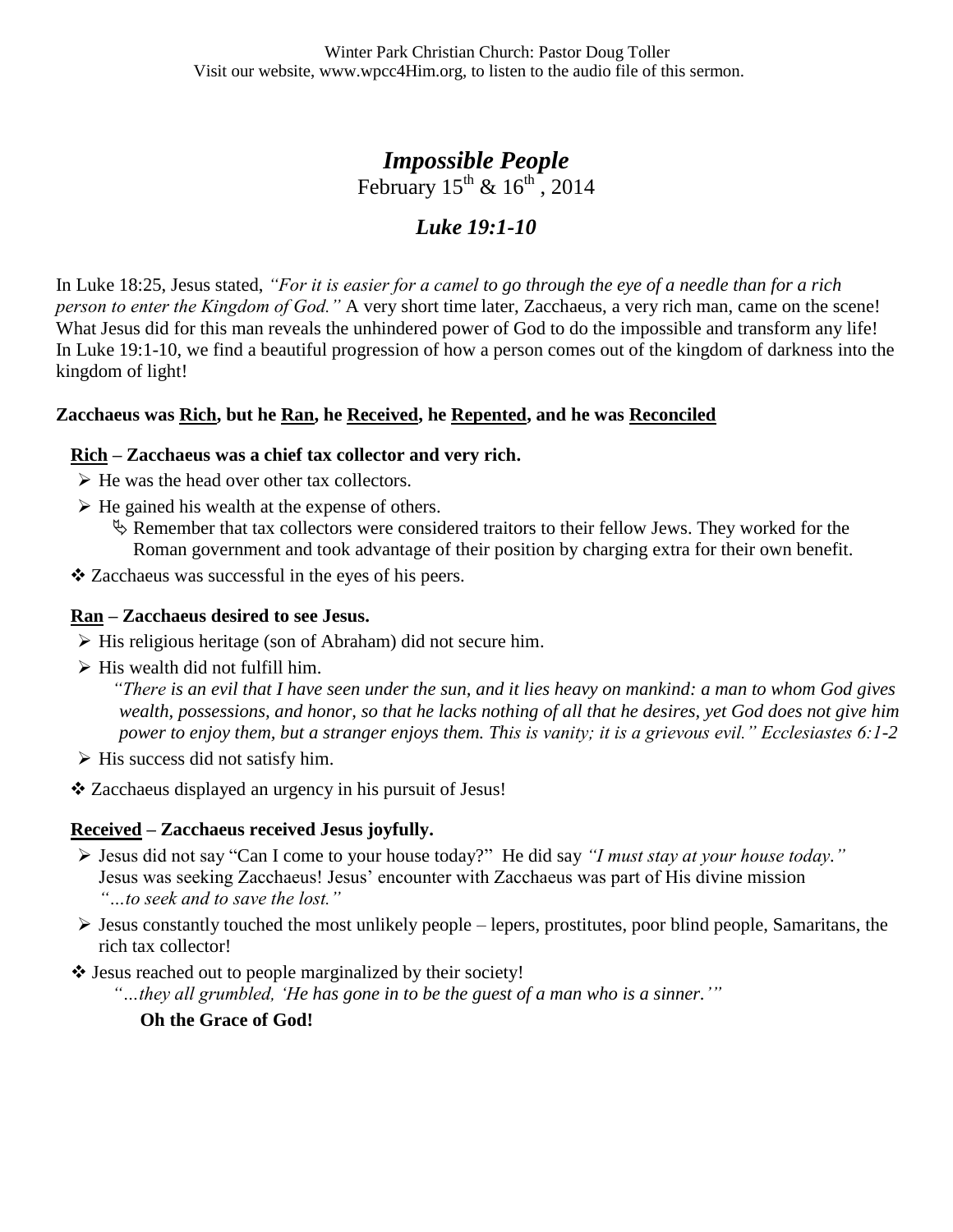## *Impossible People* February  $15^{th}$  &  $16^{th}$ , 2014

# *Luke 19:1-10*

In Luke 18:25, Jesus stated, *"For it is easier for a camel to go through the eye of a needle than for a rich person to enter the Kingdom of God."* A very short time later, Zacchaeus, a very rich man, came on the scene! What Jesus did for this man reveals the unhindered power of God to do the impossible and transform any life! In Luke 19:1-10, we find a beautiful progression of how a person comes out of the kingdom of darkness into the kingdom of light!

### **Zacchaeus was Rich, but he Ran, he Received, he Repented, and he was Reconciled**

#### **Rich – Zacchaeus was a chief tax collector and very rich.**

- $\triangleright$  He was the head over other tax collectors.
- $\triangleright$  He gained his wealth at the expense of others.
	- $\&$  Remember that tax collectors were considered traitors to their fellow Jews. They worked for the Roman government and took advantage of their position by charging extra for their own benefit.
- Zacchaeus was successful in the eyes of his peers.

#### **Ran – Zacchaeus desired to see Jesus.**

- $\triangleright$  His religious heritage (son of Abraham) did not secure him.
- $\triangleright$  His wealth did not fulfill him.

*"There is an evil that I have seen under the sun, and it lies heavy on mankind: a man to whom God gives wealth, possessions, and honor, so that he lacks nothing of all that he desires, yet God does not give him power to enjoy them, but a stranger enjoys them. This is vanity; it is a grievous evil." Ecclesiastes 6:1-2*

- $\triangleright$  His success did not satisfy him.
- Zacchaeus displayed an urgency in his pursuit of Jesus!

### **Received – Zacchaeus received Jesus joyfully.**

- Jesus did not say "Can I come to your house today?" He did say *"I must stay at your house today."* Jesus was seeking Zacchaeus! Jesus' encounter with Zacchaeus was part of His divine mission *"…to seek and to save the lost."*
- $\triangleright$  Jesus constantly touched the most unlikely people lepers, prostitutes, poor blind people, Samaritans, the rich tax collector!
- ❖ Jesus reached out to people marginalized by their society!

*"…they all grumbled, "He has gone in to be the guest of a man who is a sinner.""*

**Oh the Grace of God!**